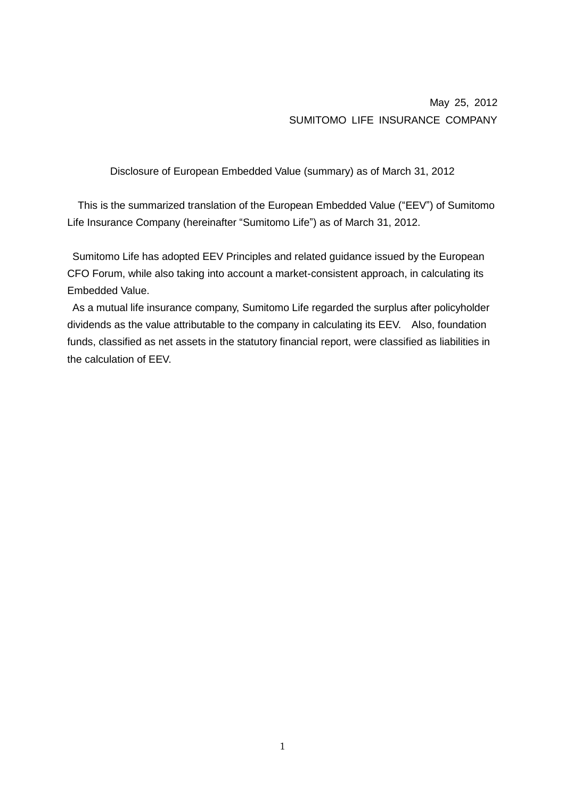# May 25, 2012 SUMITOMO LIFE INSURANCE COMPANY

Disclosure of European Embedded Value (summary) as of March 31, 2012

This is the summarized translation of the European Embedded Value ("EEV") of Sumitomo Life Insurance Company (hereinafter "Sumitomo Life") as of March 31, 2012.

Sumitomo Life has adopted EEV Principles and related guidance issued by the European CFO Forum, while also taking into account a market-consistent approach, in calculating its Embedded Value.

As a mutual life insurance company, Sumitomo Life regarded the surplus after policyholder dividends as the value attributable to the company in calculating its EEV. Also, foundation funds, classified as net assets in the statutory financial report, were classified as liabilities in the calculation of EEV.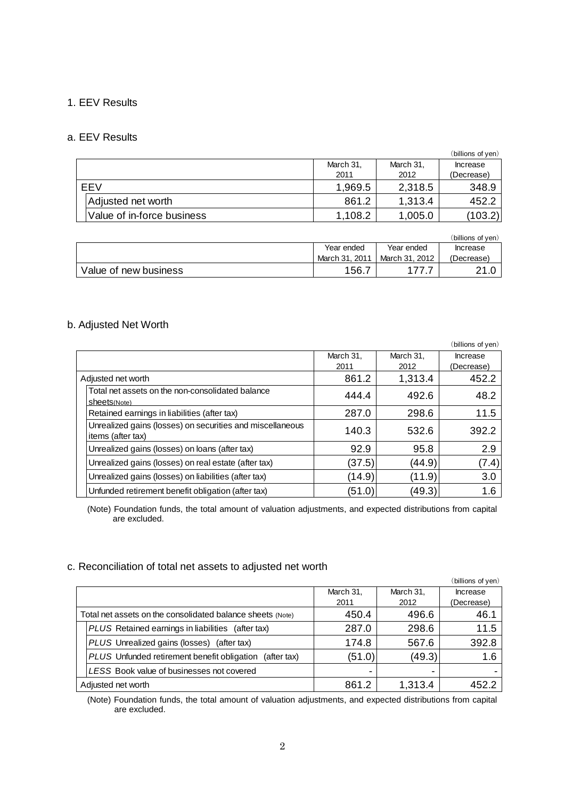### 1. EEV Results

### a. EEV Results

|            |                            |           |           | (billions of yen) |
|------------|----------------------------|-----------|-----------|-------------------|
|            |                            | March 31, | March 31, | Increase          |
|            |                            | 2011      | 2012      | (Decrease)        |
| <b>FFV</b> |                            | 1,969.5   | 2,318.5   | 348.9             |
|            | Adjusted net worth         | 861.2     | 1,313.4   | 452.2             |
|            | Value of in-force business | 1,108.2   | 1,005.0   | (103.2)           |

|                       |                |                | (billions of ven) |
|-----------------------|----------------|----------------|-------------------|
|                       | Year ended     | Year ended     | <b>Increase</b>   |
|                       | March 31, 2011 | March 31, 2012 | (Decrease)        |
| Value of new business | 156.7          |                | າ 1               |

## b. Adjusted Net Worth

|                    |                                                                                |           |           | (billions of yen) |
|--------------------|--------------------------------------------------------------------------------|-----------|-----------|-------------------|
|                    |                                                                                | March 31, | March 31, | Increase          |
|                    |                                                                                | 2011      | 2012      | (Decrease)        |
| Adjusted net worth |                                                                                | 861.2     | 1,313.4   | 452.2             |
|                    | Total net assets on the non-consolidated balance<br>Sheet <sub>S(Note)</sub>   | 444.4     | 492.6     | 48.2              |
|                    | Retained earnings in liabilities (after tax)                                   | 287.0     | 298.6     | 11.5              |
|                    | Unrealized gains (losses) on securities and miscellaneous<br>items (after tax) | 140.3     | 532.6     | 392.2             |
|                    | Unrealized gains (losses) on loans (after tax)                                 | 92.9      | 95.8      | 2.9               |
|                    | Unrealized gains (losses) on real estate (after tax)                           | (37.5)    | (44.9)    | (7.4)             |
|                    | Unrealized gains (losses) on liabilities (after tax)                           | (14.9)    | (11.9)    | 3.0               |
|                    | Unfunded retirement benefit obligation (after tax)                             | (51.0)    | (49.3)    | 1.6               |

(Note) Foundation funds, the total amount of valuation adjustments, and expected distributions from capital are excluded.

### c. Reconciliation of total net assets to adjusted net worth

|                                                            |           |                          | (billions of yen) |
|------------------------------------------------------------|-----------|--------------------------|-------------------|
|                                                            | March 31, | March 31,                | Increase          |
|                                                            | 2011      | 2012                     | (Decrease)        |
| Total net assets on the consolidated balance sheets (Note) | 450.4     | 496.6                    | 46.1              |
| PLUS Retained earnings in liabilities<br>(after tax)       | 287.0     | 298.6                    | 11.5              |
| PLUS Unrealized gains (losses) (after tax)                 | 174.8     | 567.6                    | 392.8             |
| PLUS Unfunded retirement benefit obligation<br>(after tax) | (51.0)    | (49.3)                   | 1.6               |
| LESS Book value of businesses not covered                  |           | $\overline{\phantom{0}}$ |                   |
| Adjusted net worth                                         | 861.2     | 1,313.4                  | 452.2             |

(Note) Foundation funds, the total amount of valuation adjustments, and expected distributions from capital are excluded.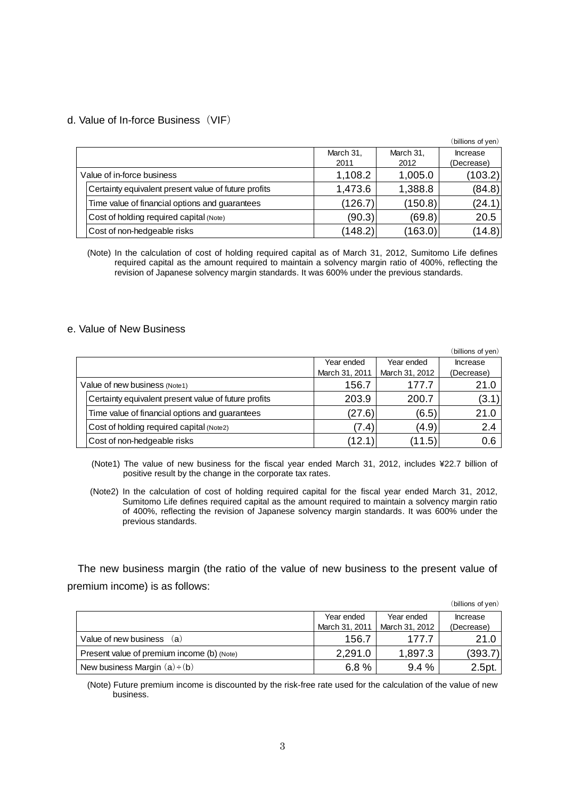#### d. Value of In-force Business(VIF)

|                            |                                                      |           |           | (billions of yen) |
|----------------------------|------------------------------------------------------|-----------|-----------|-------------------|
|                            |                                                      | March 31, | March 31, | Increase          |
|                            |                                                      | 2011      | 2012      | (Decrease)        |
| Value of in-force business |                                                      | 1,108.2   | 1,005.0   | (103.2)           |
|                            | Certainty equivalent present value of future profits | 1,473.6   | 1,388.8   | (84.8)            |
|                            | Time value of financial options and guarantees       | (126.7)   | (150.8)   | (24.1)            |
|                            | Cost of holding required capital (Note)              | (90.3)    | (69.8)    | 20.5              |
|                            | Cost of non-hedgeable risks                          | (148.2)   | (163.0)   | (14.8)            |

(Note) In the calculation of cost of holding required capital as of March 31, 2012, Sumitomo Life defines required capital as the amount required to maintain a solvency margin ratio of 400%, reflecting the revision of Japanese solvency margin standards. It was 600% under the previous standards.

#### e. Value of New Business

|                               |                                                      |                |                | (billions of yen) |
|-------------------------------|------------------------------------------------------|----------------|----------------|-------------------|
|                               |                                                      | Year ended     | Year ended     | Increase          |
|                               |                                                      | March 31, 2011 | March 31, 2012 | (Decrease)        |
| Value of new business (Note1) |                                                      | 156.7          | 177.7          | 21.0              |
|                               | Certainty equivalent present value of future profits | 203.9          | 200.7          | (3.1)             |
|                               | Time value of financial options and guarantees       | (27.6)         | (6.5)          | 21.0              |
|                               | Cost of holding required capital (Note2)             | (7.4)          | (4.9)          | 2.4               |
|                               | Cost of non-hedgeable risks                          | (12.1          | (11.5)         | 0.6               |

(Note1) The value of new business for the fiscal year ended March 31, 2012, includes ¥22.7 billion of positive result by the change in the corporate tax rates.

(Note2) In the calculation of cost of holding required capital for the fiscal year ended March 31, 2012, Sumitomo Life defines required capital as the amount required to maintain a solvency margin ratio of 400%, reflecting the revision of Japanese solvency margin standards. It was 600% under the previous standards.

The new business margin (the ratio of the value of new business to the present value of premium income) is as follows:

| remium income) is as follows:              |                |                |                   |
|--------------------------------------------|----------------|----------------|-------------------|
|                                            |                |                | (billions of yen) |
|                                            | Year ended     | Year ended     | Increase          |
|                                            | March 31, 2011 | March 31, 2012 | (Decrease)        |
| Value of new business<br>(a)               | 156.7          | 177.7          | 21.0              |
| Present value of premium income (b) (Note) | 2,291.0        | 1,897.3        | (393.7)           |
| New business Margin $(a) \div (b)$         | 6.8%           | 9.4%           | 2.5pt.            |

(Note) Future premium income is discounted by the risk-free rate used for the calculation of the value of new business.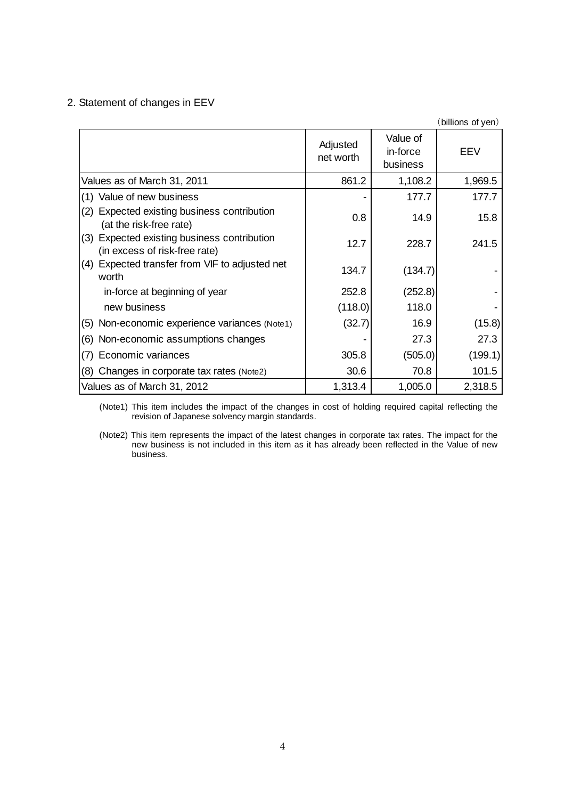## 2. Statement of changes in EEV

|                                                                                 |                       |                                  | (billions of yen) |
|---------------------------------------------------------------------------------|-----------------------|----------------------------------|-------------------|
|                                                                                 | Adjusted<br>net worth | Value of<br>in-force<br>business | EEV               |
| Values as of March 31, 2011                                                     | 861.2                 | 1,108.2                          | 1,969.5           |
| (1) Value of new business                                                       |                       | 177.7                            | 177.7             |
| Expected existing business contribution<br>(2)<br>(at the risk-free rate)       | 0.8                   | 14.9                             | 15.8              |
| Expected existing business contribution<br>(3)<br>(in excess of risk-free rate) | 12.7                  | 228.7                            | 241.5             |
| (4) Expected transfer from VIF to adjusted net<br>worth                         | 134.7                 | (134.7)                          |                   |
| in-force at beginning of year                                                   | 252.8                 | (252.8)                          |                   |
| new business                                                                    | (118.0)               | 118.0                            |                   |
| (5) Non-economic experience variances (Note1)                                   | (32.7)                | 16.9                             | (15.8)            |
| (6) Non-economic assumptions changes                                            |                       | 27.3                             | 27.3              |
| Economic variances<br>(7)                                                       | 305.8                 | (505.0)                          | (199.1)           |
| (8) Changes in corporate tax rates (Note2)                                      | 30.6                  | 70.8                             | 101.5             |
| Values as of March 31, 2012                                                     | 1,313.4               | 1,005.0                          | 2,318.5           |

(Note1) This item includes the impact of the changes in cost of holding required capital reflecting the revision of Japanese solvency margin standards.

(Note2) This item represents the impact of the latest changes in corporate tax rates. The impact for the new business is not included in this item as it has already been reflected in the Value of new business.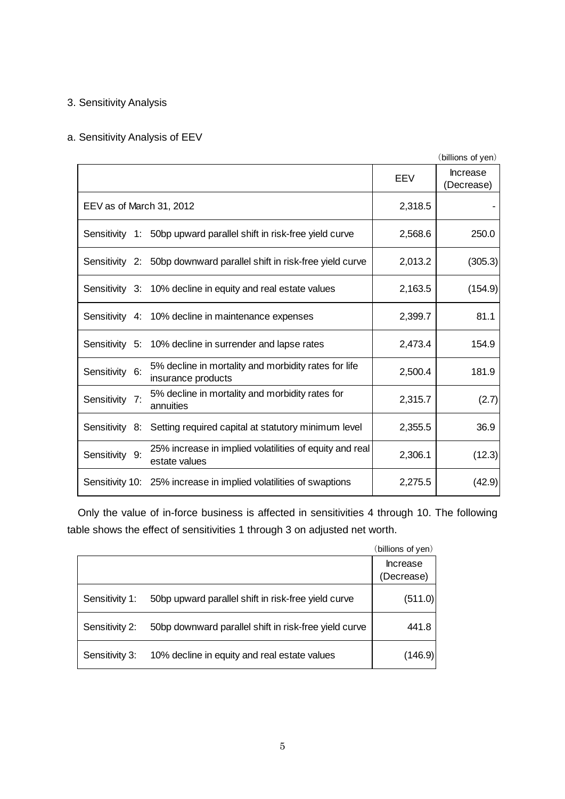# 3. Sensitivity Analysis

# a. Sensitivity Analysis of EEV

|                                                                                              |         | (billions of yen)             |
|----------------------------------------------------------------------------------------------|---------|-------------------------------|
|                                                                                              | EEV     | <b>Increase</b><br>(Decrease) |
| EEV as of March 31, 2012                                                                     | 2,318.5 |                               |
| Sensitivity 1: 50bp upward parallel shift in risk-free yield curve                           | 2,568.6 | 250.0                         |
| Sensitivity 2: 50bp downward parallel shift in risk-free yield curve                         | 2,013.2 | (305.3)                       |
| Sensitivity 3: 10% decline in equity and real estate values                                  | 2,163.5 | (154.9)                       |
| Sensitivity 4: 10% decline in maintenance expenses                                           | 2,399.7 | 81.1                          |
| Sensitivity 5: 10% decline in surrender and lapse rates                                      | 2,473.4 | 154.9                         |
| 5% decline in mortality and morbidity rates for life<br>Sensitivity 6:<br>insurance products | 2,500.4 | 181.9                         |
| 5% decline in mortality and morbidity rates for<br>Sensitivity 7:<br>annuities               | 2,315.7 | (2.7)                         |
| Sensitivity 8:<br>Setting required capital at statutory minimum level                        | 2,355.5 | 36.9                          |
| 25% increase in implied volatilities of equity and real<br>Sensitivity 9:<br>estate values   | 2,306.1 | (12.3)                        |
| Sensitivity 10: 25% increase in implied volatilities of swaptions                            | 2,275.5 | (42.9)                        |

Only the value of in-force business is affected in sensitivities 4 through 10. The following table shows the effect of sensitivities 1 through 3 on adjusted net worth.

|                |                                                       | (billions of yen)             |
|----------------|-------------------------------------------------------|-------------------------------|
|                |                                                       | <b>Increase</b><br>(Decrease) |
| Sensitivity 1: | 50bp upward parallel shift in risk-free yield curve   | (511.0)                       |
| Sensitivity 2: | 50bp downward parallel shift in risk-free yield curve | 441.8                         |
| Sensitivity 3: | 10% decline in equity and real estate values          | (146.9)                       |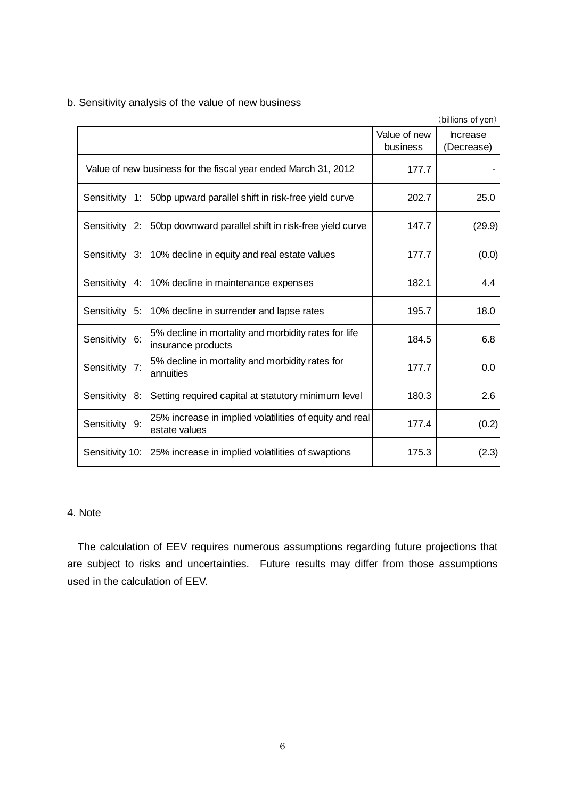|                |                                                                            |                          | (billions of yen)             |
|----------------|----------------------------------------------------------------------------|--------------------------|-------------------------------|
|                |                                                                            | Value of new<br>business | <b>Increase</b><br>(Decrease) |
|                | Value of new business for the fiscal year ended March 31, 2012             | 177.7                    |                               |
|                | Sensitivity 1: 50bp upward parallel shift in risk-free yield curve         | 202.7                    | 25.0                          |
|                | Sensitivity 2: 50bp downward parallel shift in risk-free yield curve       | 147.7                    | (29.9)                        |
|                | Sensitivity 3: 10% decline in equity and real estate values                | 177.7                    | (0.0)                         |
|                | Sensitivity 4: 10% decline in maintenance expenses                         | 182.1                    | 4.4                           |
|                | Sensitivity 5: 10% decline in surrender and lapse rates                    | 195.7                    | 18.0                          |
| Sensitivity 6: | 5% decline in mortality and morbidity rates for life<br>insurance products | 184.5                    | 6.8                           |
| Sensitivity 7: | 5% decline in mortality and morbidity rates for<br>annuities               | 177.7                    | 0.0                           |
| Sensitivity 8: | Setting required capital at statutory minimum level                        | 180.3                    | 2.6                           |
| Sensitivity 9: | 25% increase in implied volatilities of equity and real<br>estate values   | 177.4                    | (0.2)                         |
|                | Sensitivity 10: 25% increase in implied volatilities of swaptions          | 175.3                    | (2.3)                         |

b. Sensitivity analysis of the value of new business

# 4. Note

The calculation of EEV requires numerous assumptions regarding future projections that are subject to risks and uncertainties. Future results may differ from those assumptions used in the calculation of EEV.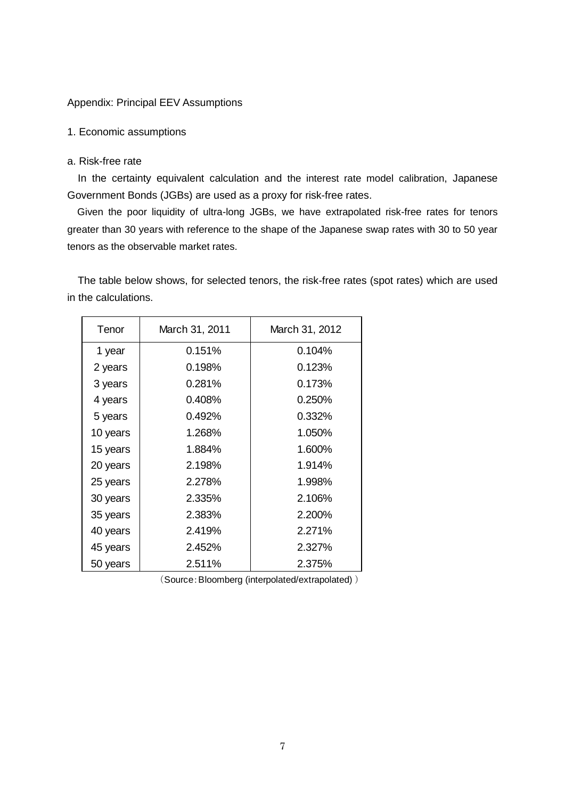### Appendix: Principal EEV Assumptions

### 1. Economic assumptions

### a. Risk-free rate

In the certainty equivalent calculation and the interest rate model calibration, Japanese Government Bonds (JGBs) are used as a proxy for risk-free rates.

Given the poor liquidity of ultra-long JGBs, we have extrapolated risk-free rates for tenors greater than 30 years with reference to the shape of the Japanese swap rates with 30 to 50 year tenors as the observable market rates.

The table below shows, for selected tenors, the risk-free rates (spot rates) which are used in the calculations.

| Tenor    | March 31, 2011 | March 31, 2012 |
|----------|----------------|----------------|
| 1 year   | 0.151%         | 0.104%         |
| 2 years  | 0.198%         | 0.123%         |
| 3 years  | 0.281%         | 0.173%         |
| 4 years  | 0.408%         | 0.250%         |
| 5 years  | 0.492%         | 0.332%         |
| 10 years | 1.268%         | 1.050%         |
| 15 years | 1.884%         | 1.600%         |
| 20 years | 2.198%         | 1.914%         |
| 25 years | 2.278%         | 1.998%         |
| 30 years | 2.335%         | 2.106%         |
| 35 years | 2.383%         | 2.200%         |
| 40 years | 2.419%         | 2.271%         |
| 45 years | 2.452%         | 2.327%         |
| 50 years | 2.511%         | 2.375%         |

(Source:Bloomberg (interpolated/extrapolated) )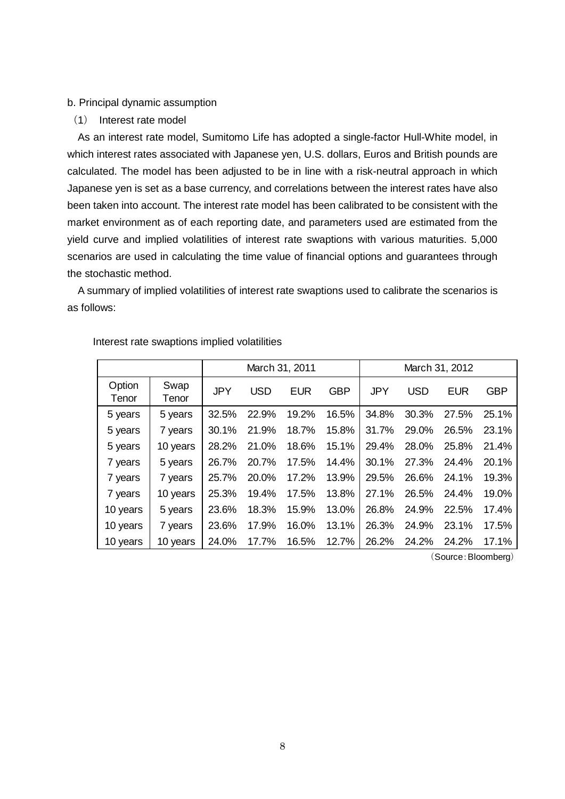#### b. Principal dynamic assumption

(1) Interest rate model

As an interest rate model, Sumitomo Life has adopted a single-factor Hull-White model, in which interest rates associated with Japanese yen, U.S. dollars, Euros and British pounds are calculated. The model has been adjusted to be in line with a risk-neutral approach in which Japanese yen is set as a base currency, and correlations between the interest rates have also been taken into account. The interest rate model has been calibrated to be consistent with the market environment as of each reporting date, and parameters used are estimated from the yield curve and implied volatilities of interest rate swaptions with various maturities. 5,000 scenarios are used in calculating the time value of financial options and guarantees through the stochastic method.

A summary of implied volatilities of interest rate swaptions used to calibrate the scenarios is as follows:

|                 |               |            | March 31, 2011 |            |            | March 31, 2012 |            |            |            |
|-----------------|---------------|------------|----------------|------------|------------|----------------|------------|------------|------------|
| Option<br>Tenor | Swap<br>Tenor | <b>JPY</b> | <b>USD</b>     | <b>EUR</b> | <b>GBP</b> | <b>JPY</b>     | <b>USD</b> | <b>EUR</b> | <b>GBP</b> |
| 5 years         | 5 years       | 32.5%      | 22.9%          | 19.2%      | 16.5%      | 34.8%          | 30.3%      | 27.5%      | 25.1%      |
| 5 years         | 7 years       | 30.1%      | 21.9%          | 18.7%      | 15.8%      | 31.7%          | 29.0%      | 26.5%      | 23.1%      |
| 5 years         | 10 years      | 28.2%      | 21.0%          | 18.6%      | 15.1%      | 29.4%          | 28.0%      | 25.8%      | 21.4%      |
| 7 years         | 5 years       | 26.7%      | 20.7%          | 17.5%      | 14.4%      | 30.1%          | 27.3%      | 24.4%      | 20.1%      |
| 7 years         | 7 years       | 25.7%      | 20.0%          | 17.2%      | 13.9%      | 29.5%          | 26.6%      | 24.1%      | 19.3%      |
| 7 years         | 10 years      | 25.3%      | 19.4%          | 17.5%      | 13.8%      | 27.1%          | 26.5%      | 24.4%      | 19.0%      |
| 10 years        | 5 years       | 23.6%      | 18.3%          | 15.9%      | 13.0%      | 26.8%          | 24.9%      | 22.5%      | 17.4%      |
| 10 years        | 7 years       | 23.6%      | 17.9%          | 16.0%      | 13.1%      | 26.3%          | 24.9%      | 23.1%      | 17.5%      |
| 10 years        | 10 years      | 24.0%      | 17.7%          | 16.5%      | 12.7%      | 26.2%          | 24.2%      | 24.2%      | 17.1%      |

Interest rate swaptions implied volatilities

(Source:Bloomberg)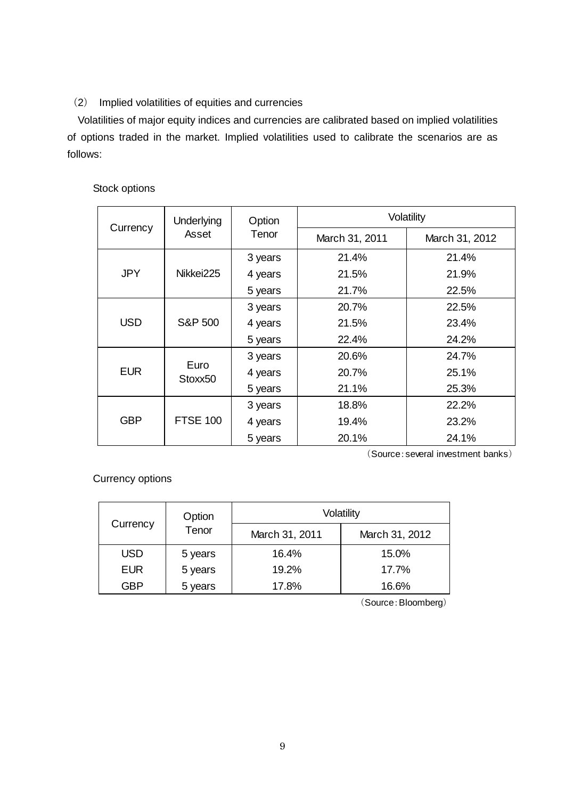# (2) Implied volatilities of equities and currencies

Volatilities of major equity indices and currencies are calibrated based on implied volatilities of options traded in the market. Implied volatilities used to calibrate the scenarios are as follows:

## Stock options

|            | Underlying         | Option  | Volatility     |                |  |  |
|------------|--------------------|---------|----------------|----------------|--|--|
| Currency   | Asset              | Tenor   | March 31, 2011 | March 31, 2012 |  |  |
|            |                    | 3 years | 21.4%          | 21.4%          |  |  |
| <b>JPY</b> | Nikkei225          | 4 years | 21.5%          | 21.9%          |  |  |
|            |                    | 5 years | 21.7%          | 22.5%          |  |  |
| <b>USD</b> |                    | 3 years | 20.7%          | 22.5%          |  |  |
|            | <b>S&amp;P 500</b> | 4 years | 21.5%          | 23.4%          |  |  |
|            |                    | 5 years | 22.4%          | 24.2%          |  |  |
| <b>EUR</b> |                    | 3 years | 20.6%          | 24.7%          |  |  |
|            | Euro<br>Stoxx50    | 4 years | 20.7%          | 25.1%          |  |  |
|            |                    | 5 years | 21.1%          | 25.3%          |  |  |
| <b>GBP</b> |                    | 3 years | 18.8%          | 22.2%          |  |  |
|            | <b>FTSE 100</b>    | 4 years | 19.4%          | 23.2%          |  |  |
|            |                    | 5 years | 20.1%          | 24.1%          |  |  |

(Source:several investment banks)

Currency options

|            | Option  | Volatility     |                |  |  |  |  |
|------------|---------|----------------|----------------|--|--|--|--|
| Currency   | Tenor   | March 31, 2011 | March 31, 2012 |  |  |  |  |
| <b>USD</b> | 5 years | 16.4%          | 15.0%          |  |  |  |  |
| <b>EUR</b> | 5 years | 19.2%          | 17.7%          |  |  |  |  |
| GBP        | 5 years | 17.8%          | 16.6%          |  |  |  |  |

(Source:Bloomberg)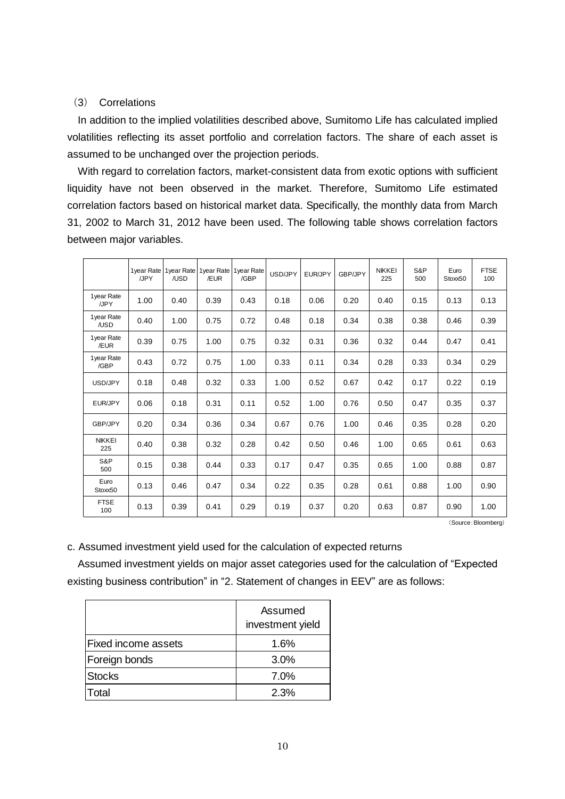### (3) Correlations

In addition to the implied volatilities described above, Sumitomo Life has calculated implied volatilities reflecting its asset portfolio and correlation factors. The share of each asset is assumed to be unchanged over the projection periods.

With regard to correlation factors, market-consistent data from exotic options with sufficient liquidity have not been observed in the market. Therefore, Sumitomo Life estimated correlation factors based on historical market data. Specifically, the monthly data from March 31, 2002 to March 31, 2012 have been used. The following table shows correlation factors between major variables.

|                      | 1 vear Rate<br>/JPY | 1year Rate<br>/USD | /EUR | 1year Rate 1year Rate<br>/GBP | USD/JPY | EUR/JPY | GBP/JPY | <b>NIKKEI</b><br>225 | S&P<br>500 | Euro<br>Stoxx50 | <b>FTSE</b><br>100 |
|----------------------|---------------------|--------------------|------|-------------------------------|---------|---------|---------|----------------------|------------|-----------------|--------------------|
| 1year Rate<br>/JPY   | 1.00                | 0.40               | 0.39 | 0.43                          | 0.18    | 0.06    | 0.20    | 0.40                 | 0.15       | 0.13            | 0.13               |
| 1year Rate<br>/USD   | 0.40                | 1.00               | 0.75 | 0.72                          | 0.48    | 0.18    | 0.34    | 0.38                 | 0.38       | 0.46            | 0.39               |
| 1year Rate<br>/EUR   | 0.39                | 0.75               | 1.00 | 0.75                          | 0.32    | 0.31    | 0.36    | 0.32                 | 0.44       | 0.47            | 0.41               |
| 1year Rate<br>/GBP   | 0.43                | 0.72               | 0.75 | 1.00                          | 0.33    | 0.11    | 0.34    | 0.28                 | 0.33       | 0.34            | 0.29               |
| USD/JPY              | 0.18                | 0.48               | 0.32 | 0.33                          | 1.00    | 0.52    | 0.67    | 0.42                 | 0.17       | 0.22            | 0.19               |
| EUR/JPY              | 0.06                | 0.18               | 0.31 | 0.11                          | 0.52    | 1.00    | 0.76    | 0.50                 | 0.47       | 0.35            | 0.37               |
| <b>GBP/JPY</b>       | 0.20                | 0.34               | 0.36 | 0.34                          | 0.67    | 0.76    | 1.00    | 0.46                 | 0.35       | 0.28            | 0.20               |
| <b>NIKKEI</b><br>225 | 0.40                | 0.38               | 0.32 | 0.28                          | 0.42    | 0.50    | 0.46    | 1.00                 | 0.65       | 0.61            | 0.63               |
| S&P<br>500           | 0.15                | 0.38               | 0.44 | 0.33                          | 0.17    | 0.47    | 0.35    | 0.65                 | 1.00       | 0.88            | 0.87               |
| Euro<br>Stoxx50      | 0.13                | 0.46               | 0.47 | 0.34                          | 0.22    | 0.35    | 0.28    | 0.61                 | 0.88       | 1.00            | 0.90               |
| <b>FTSE</b><br>100   | 0.13                | 0.39               | 0.41 | 0.29                          | 0.19    | 0.37    | 0.20    | 0.63                 | 0.87       | 0.90            | 1.00               |

(Source:Bloomberg)

c. Assumed investment yield used for the calculation of expected returns

Assumed investment yields on major asset categories used for the calculation of "Expected existing business contribution" in "2. Statement of changes in EEV" are as follows:

|                            | Assumed<br>investment yield |
|----------------------------|-----------------------------|
| <b>Fixed income assets</b> | 1.6%                        |
| Foreign bonds              | 3.0%                        |
| <b>Stocks</b>              | 7.0%                        |
| <b>Total</b>               | 2.3%                        |